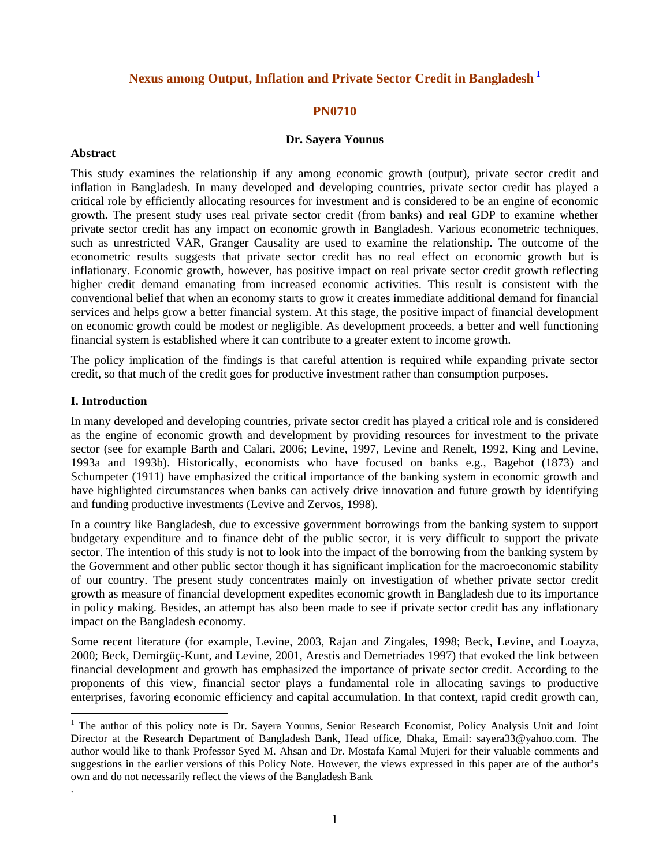# **Nexus among Output, Inflation and Private Sector Credit in Bangladesh 1**

## **PN0710**

#### **Dr. Sayera Younus**

#### **Abstract**

This study examines the relationship if any among economic growth (output), private sector credit and inflation in Bangladesh. In many developed and developing countries, private sector credit has played a critical role by efficiently allocating resources for investment and is considered to be an engine of economic growth**.** The present study uses real private sector credit (from banks) and real GDP to examine whether private sector credit has any impact on economic growth in Bangladesh. Various econometric techniques, such as unrestricted VAR, Granger Causality are used to examine the relationship. The outcome of the econometric results suggests that private sector credit has no real effect on economic growth but is inflationary. Economic growth, however, has positive impact on real private sector credit growth reflecting higher credit demand emanating from increased economic activities. This result is consistent with the conventional belief that when an economy starts to grow it creates immediate additional demand for financial services and helps grow a better financial system. At this stage, the positive impact of financial development on economic growth could be modest or negligible. As development proceeds, a better and well functioning financial system is established where it can contribute to a greater extent to income growth.

The policy implication of the findings is that careful attention is required while expanding private sector credit, so that much of the credit goes for productive investment rather than consumption purposes.

#### **I. Introduction**

 $\overline{a}$ 

.

In many developed and developing countries, private sector credit has played a critical role and is considered as the engine of economic growth and development by providing resources for investment to the private sector (see for example Barth and Calari, 2006; Levine, 1997, Levine and Renelt, 1992, King and Levine, 1993a and 1993b). Historically, economists who have focused on banks e.g., Bagehot (1873) and Schumpeter (1911) have emphasized the critical importance of the banking system in economic growth and have highlighted circumstances when banks can actively drive innovation and future growth by identifying and funding productive investments (Levive and Zervos, 1998).

In a country like Bangladesh, due to excessive government borrowings from the banking system to support budgetary expenditure and to finance debt of the public sector, it is very difficult to support the private sector. The intention of this study is not to look into the impact of the borrowing from the banking system by the Government and other public sector though it has significant implication for the macroeconomic stability of our country. The present study concentrates mainly on investigation of whether private sector credit growth as measure of financial development expedites economic growth in Bangladesh due to its importance in policy making. Besides, an attempt has also been made to see if private sector credit has any inflationary impact on the Bangladesh economy.

Some recent literature (for example, Levine, 2003, Rajan and Zingales, 1998; Beck, Levine, and Loayza, 2000; Beck, Demirgüç-Kunt, and Levine, 2001, Arestis and Demetriades 1997) that evoked the link between financial development and growth has emphasized the importance of private sector credit. According to the proponents of this view, financial sector plays a fundamental role in allocating savings to productive enterprises, favoring economic efficiency and capital accumulation. In that context, rapid credit growth can,

<sup>&</sup>lt;sup>1</sup> The author of this policy note is Dr. Sayera Younus, Senior Research Economist, Policy Analysis Unit and Joint Director at the Research Department of Bangladesh Bank, Head office, Dhaka, Email: sayera33@yahoo.com. The author would like to thank Professor Syed M. Ahsan and Dr. Mostafa Kamal Mujeri for their valuable comments and suggestions in the earlier versions of this Policy Note. However, the views expressed in this paper are of the author's own and do not necessarily reflect the views of the Bangladesh Bank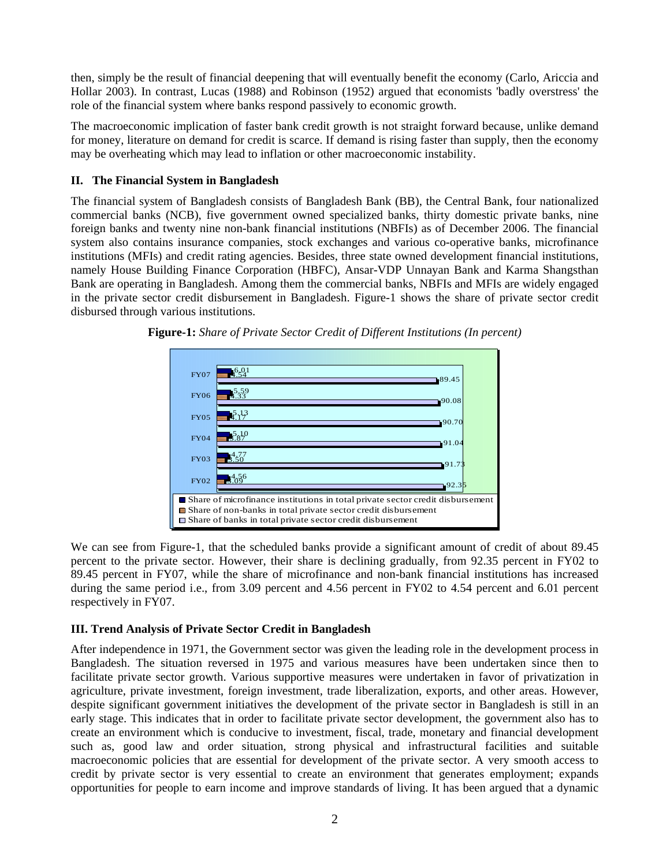then, simply be the result of financial deepening that will eventually benefit the economy (Carlo, Ariccia and Hollar 2003). In contrast, Lucas (1988) and Robinson (1952) argued that economists 'badly overstress' the role of the financial system where banks respond passively to economic growth.

The macroeconomic implication of faster bank credit growth is not straight forward because, unlike demand for money, literature on demand for credit is scarce. If demand is rising faster than supply, then the economy may be overheating which may lead to inflation or other macroeconomic instability.

# **II. The Financial System in Bangladesh**

The financial system of Bangladesh consists of Bangladesh Bank (BB), the Central Bank, four nationalized commercial banks (NCB), five government owned specialized banks, thirty domestic private banks, nine foreign banks and twenty nine non-bank financial institutions (NBFIs) as of December 2006. The financial system also contains insurance companies, stock exchanges and various co-operative banks, microfinance institutions (MFIs) and credit rating agencies. Besides, three state owned development financial institutions, namely House Building Finance Corporation (HBFC), Ansar-VDP Unnayan Bank and Karma Shangsthan Bank are operating in Bangladesh. Among them the commercial banks, NBFIs and MFIs are widely engaged in the private sector credit disbursement in Bangladesh. Figure-1 shows the share of private sector credit disbursed through various institutions.



**Figure-1:** *Share of Private Sector Credit of Different Institutions (In percent)*

We can see from Figure-1, that the scheduled banks provide a significant amount of credit of about 89.45 percent to the private sector. However, their share is declining gradually, from 92.35 percent in FY02 to 89.45 percent in FY07, while the share of microfinance and non-bank financial institutions has increased during the same period i.e., from 3.09 percent and 4.56 percent in FY02 to 4.54 percent and 6.01 percent respectively in FY07.

## **III. Trend Analysis of Private Sector Credit in Bangladesh**

After independence in 1971, the Government sector was given the leading role in the development process in Bangladesh. The situation reversed in 1975 and various measures have been undertaken since then to facilitate private sector growth. Various supportive measures were undertaken in favor of privatization in agriculture, private investment, foreign investment, trade liberalization, exports, and other areas. However, despite significant government initiatives the development of the private sector in Bangladesh is still in an early stage. This indicates that in order to facilitate private sector development, the government also has to create an environment which is conducive to investment, fiscal, trade, monetary and financial development such as, good law and order situation, strong physical and infrastructural facilities and suitable macroeconomic policies that are essential for development of the private sector. A very smooth access to credit by private sector is very essential to create an environment that generates employment; expands opportunities for people to earn income and improve standards of living. It has been argued that a dynamic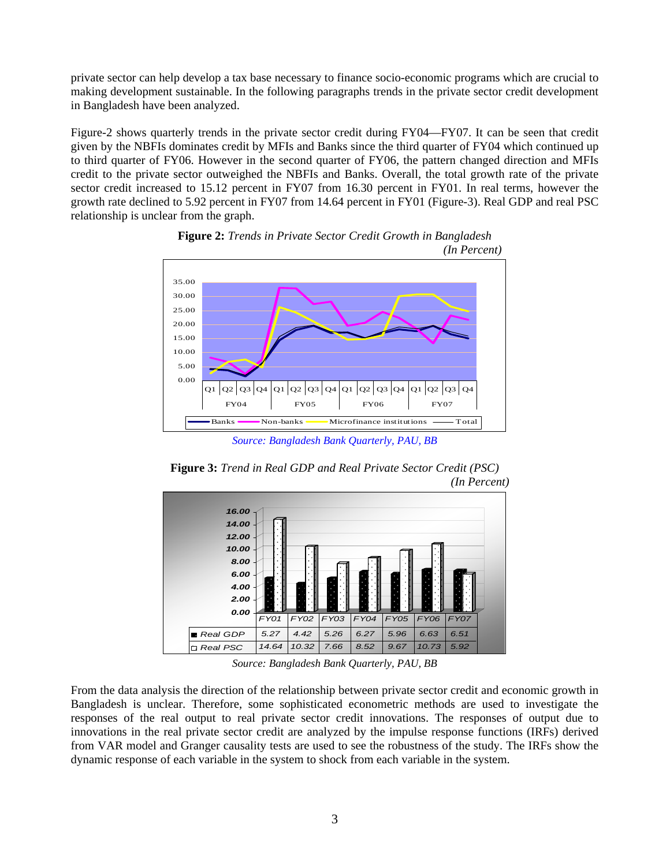private sector can help develop a tax base necessary to finance socio-economic programs which are crucial to making development sustainable. In the following paragraphs trends in the private sector credit development in Bangladesh have been analyzed.

Figure-2 shows quarterly trends in the private sector credit during FY04—FY07. It can be seen that credit given by the NBFIs dominates credit by MFIs and Banks since the third quarter of FY04 which continued up to third quarter of FY06. However in the second quarter of FY06, the pattern changed direction and MFIs credit to the private sector outweighed the NBFIs and Banks. Overall, the total growth rate of the private sector credit increased to 15.12 percent in FY07 from 16.30 percent in FY01. In real terms, however the growth rate declined to 5.92 percent in FY07 from 14.64 percent in FY01 (Figure-3). Real GDP and real PSC relationship is unclear from the graph.





*Source: Bangladesh Bank Quarterly, PAU, BB* 





*Source: Bangladesh Bank Quarterly, PAU, BB* 

From the data analysis the direction of the relationship between private sector credit and economic growth in Bangladesh is unclear. Therefore, some sophisticated econometric methods are used to investigate the responses of the real output to real private sector credit innovations. The responses of output due to innovations in the real private sector credit are analyzed by the impulse response functions (IRFs) derived from VAR model and Granger causality tests are used to see the robustness of the study. The IRFs show the dynamic response of each variable in the system to shock from each variable in the system.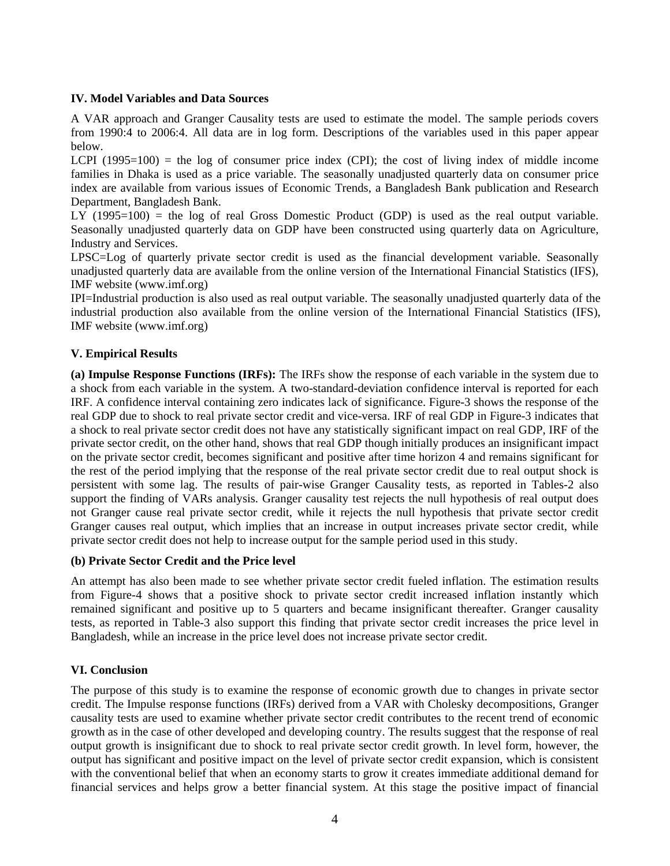#### **IV. Model Variables and Data Sources**

A VAR approach and Granger Causality tests are used to estimate the model. The sample periods covers from 1990:4 to 2006:4. All data are in log form. Descriptions of the variables used in this paper appear below.

LCPI  $(1995=100)$  = the log of consumer price index  $(CPI)$ ; the cost of living index of middle income families in Dhaka is used as a price variable. The seasonally unadjusted quarterly data on consumer price index are available from various issues of Economic Trends, a Bangladesh Bank publication and Research Department, Bangladesh Bank.

LY (1995=100) = the log of real Gross Domestic Product (GDP) is used as the real output variable. Seasonally unadjusted quarterly data on GDP have been constructed using quarterly data on Agriculture, Industry and Services.

LPSC=Log of quarterly private sector credit is used as the financial development variable. Seasonally unadjusted quarterly data are available from the online version of the International Financial Statistics (IFS), IMF website (www.imf.org)

IPI=Industrial production is also used as real output variable. The seasonally unadjusted quarterly data of the industrial production also available from the online version of the International Financial Statistics (IFS), IMF website (www.imf.org)

## **V. Empirical Results**

**(a) Impulse Response Functions (IRFs):** The IRFs show the response of each variable in the system due to a shock from each variable in the system. A two-standard-deviation confidence interval is reported for each IRF. A confidence interval containing zero indicates lack of significance. Figure-3 shows the response of the real GDP due to shock to real private sector credit and vice-versa. IRF of real GDP in Figure-3 indicates that a shock to real private sector credit does not have any statistically significant impact on real GDP, IRF of the private sector credit, on the other hand, shows that real GDP though initially produces an insignificant impact on the private sector credit, becomes significant and positive after time horizon 4 and remains significant for the rest of the period implying that the response of the real private sector credit due to real output shock is persistent with some lag. The results of pair-wise Granger Causality tests, as reported in Tables-2 also support the finding of VARs analysis. Granger causality test rejects the null hypothesis of real output does not Granger cause real private sector credit, while it rejects the null hypothesis that private sector credit Granger causes real output, which implies that an increase in output increases private sector credit, while private sector credit does not help to increase output for the sample period used in this study.

## **(b) Private Sector Credit and the Price level**

An attempt has also been made to see whether private sector credit fueled inflation. The estimation results from Figure-4 shows that a positive shock to private sector credit increased inflation instantly which remained significant and positive up to 5 quarters and became insignificant thereafter. Granger causality tests, as reported in Table-3 also support this finding that private sector credit increases the price level in Bangladesh, while an increase in the price level does not increase private sector credit.

## **VI. Conclusion**

The purpose of this study is to examine the response of economic growth due to changes in private sector credit. The Impulse response functions (IRFs) derived from a VAR with Cholesky decompositions, Granger causality tests are used to examine whether private sector credit contributes to the recent trend of economic growth as in the case of other developed and developing country. The results suggest that the response of real output growth is insignificant due to shock to real private sector credit growth. In level form, however, the output has significant and positive impact on the level of private sector credit expansion, which is consistent with the conventional belief that when an economy starts to grow it creates immediate additional demand for financial services and helps grow a better financial system. At this stage the positive impact of financial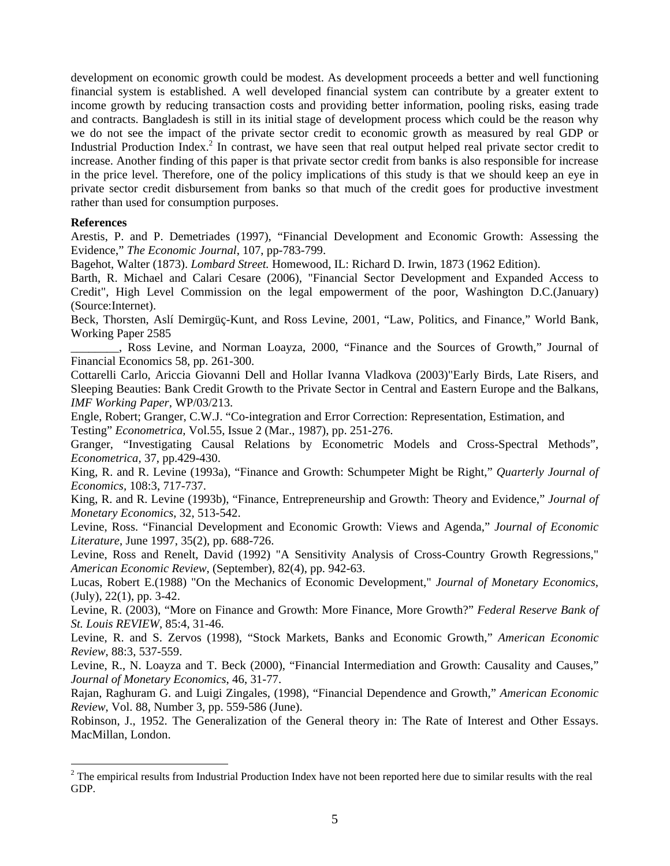development on economic growth could be modest. As development proceeds a better and well functioning financial system is established. A well developed financial system can contribute by a greater extent to income growth by reducing transaction costs and providing better information, pooling risks, easing trade and contracts. Bangladesh is still in its initial stage of development process which could be the reason why we do not see the impact of the private sector credit to economic growth as measured by real GDP or Industrial Production Index.<sup>2</sup> In contrast, we have seen that real output helped real private sector credit to increase. Another finding of this paper is that private sector credit from banks is also responsible for increase in the price level. Therefore, one of the policy implications of this study is that we should keep an eye in private sector credit disbursement from banks so that much of the credit goes for productive investment rather than used for consumption purposes.

#### **References**

 $\overline{a}$ 

Arestis, P. and P. Demetriades (1997), "Financial Development and Economic Growth: Assessing the Evidence," *The Economic Journal*, 107, pp-783-799.

Bagehot, Walter (1873). *Lombard Street.* Homewood, IL: Richard D. Irwin, 1873 (1962 Edition).

Barth, R. Michael and Calari Cesare (2006), "Financial Sector Development and Expanded Access to Credit", High Level Commission on the legal empowerment of the poor, Washington D.C.(January) (Source:Internet).

Beck, Thorsten, Aslí Demirgüç-Kunt, and Ross Levine, 2001, "Law, Politics, and Finance," World Bank, Working Paper 2585

\_\_\_\_\_\_\_\_, Ross Levine, and Norman Loayza, 2000, "Finance and the Sources of Growth," Journal of Financial Economics 58, pp. 261-300.

Cottarelli Carlo, Ariccia Giovanni Dell and Hollar Ivanna Vladkova (2003)"Early Birds, Late Risers, and Sleeping Beauties: Bank Credit Growth to the Private Sector in Central and Eastern Europe and the Balkans, *IMF Working Paper,* WP/03/213.

 Engle, Robert; Granger, C.W.J. "Co-integration and Error Correction: Representation, Estimation, and Testing" *Econometrica,* Vol.55, Issue 2 (Mar., 1987), pp. 251-276.

Granger, "Investigating Causal Relations by Econometric Models and Cross-Spectral Methods", *Econometrica,* 37, pp.429-430.

King, R. and R. Levine (1993a), "Finance and Growth: Schumpeter Might be Right," *Quarterly Journal of Economics,* 108:3, 717-737.

King, R. and R. Levine (1993b), "Finance, Entrepreneurship and Growth: Theory and Evidence," *Journal of Monetary Economics*, 32, 513-542.

Levine, Ross. "Financial Development and Economic Growth: Views and Agenda," *Journal of Economic Literature*, June 1997, 35(2), pp. 688-726.

Levine, Ross and Renelt, David (1992) "A Sensitivity Analysis of Cross-Country Growth Regressions," *American Economic Review*, (September), 82(4), pp. 942-63.

Lucas, Robert E.(1988) "On the Mechanics of Economic Development," *Journal of Monetary Economics,* (July), 22(1), pp. 3-42.

Levine, R. (2003), "More on Finance and Growth: More Finance, More Growth?" *Federal Reserve Bank of St. Louis REVIEW*, 85:4, 31-46.

Levine, R. and S. Zervos (1998), "Stock Markets, Banks and Economic Growth," *American Economic Review*, 88:3, 537-559.

Levine, R., N. Loayza and T. Beck (2000), "Financial Intermediation and Growth: Causality and Causes," *Journal of Monetary Economics*, 46, 31-77.

Rajan, Raghuram G. and Luigi Zingales, (1998), "Financial Dependence and Growth," *American Economic Review*, Vol. 88, Number 3, pp. 559-586 (June).

Robinson, J., 1952. The Generalization of the General theory in: The Rate of Interest and Other Essays. MacMillan, London.

 $2^2$  The empirical results from Industrial Production Index have not been reported here due to similar results with the real GDP.